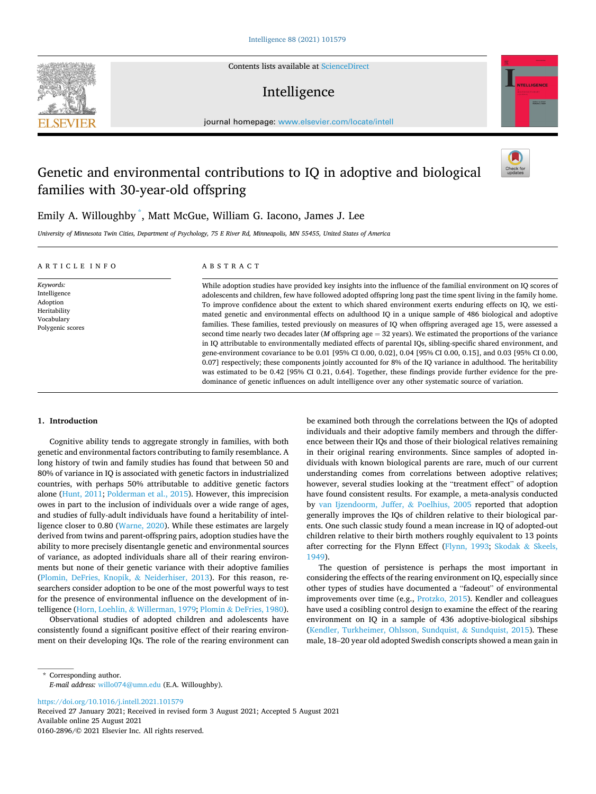Contents lists available at [ScienceDirect](www.sciencedirect.com/science/journal/01602896)

# Intelligence



journal homepage: [www.elsevier.com/locate/intell](https://www.elsevier.com/locate/intell) 

# Genetic and environmental contributions to IQ in adoptive and biological families with 30-year-old offspring



Emily A. Willoughby \* , Matt McGue, William G. Iacono, James J. Lee

*University of Minnesota Twin Cities, Department of Psychology, 75 E River Rd, Minneapolis, MN 55455, United States of America* 

#### ARTICLE INFO *Keywords:*  Intelligence Adoption Heritability Vocabulary Polygenic scores ABSTRACT While adoption studies have provided key insights into the influence of the familial environment on IQ scores of adolescents and children, few have followed adopted offspring long past the time spent living in the family home. To improve confidence about the extent to which shared environment exerts enduring effects on IQ, we estimated genetic and environmental effects on adulthood IQ in a unique sample of 486 biological and adoptive families. These families, tested previously on measures of IQ when offspring averaged age 15, were assessed a second time nearly two decades later (*M* offspring age = 32 years). We estimated the proportions of the variance in IQ attributable to environmentally mediated effects of parental IQs, sibling-specific shared environment, and gene-environment covariance to be 0.01 [95% CI 0.00, 0.02], 0.04 [95% CI 0.00, 0.15], and 0.03 [95% CI 0.00, 0.07] respectively; these components jointly accounted for 8% of the IQ variance in adulthood. The heritability was estimated to be 0.42 [95% CI 0.21, 0.64]. Together, these findings provide further evidence for the predominance of genetic influences on adult intelligence over any other systematic source of variation.

## **1. Introduction**

**SEVIER** 

Cognitive ability tends to aggregate strongly in families, with both genetic and environmental factors contributing to family resemblance. A long history of twin and family studies has found that between 50 and 80% of variance in IQ is associated with genetic factors in industrialized countries, with perhaps 50% attributable to additive genetic factors alone [\(Hunt, 2011; Polderman et al., 2015](#page-7-0)). However, this imprecision owes in part to the inclusion of individuals over a wide range of ages, and studies of fully-adult individuals have found a heritability of intelligence closer to 0.80 ([Warne, 2020](#page-8-0)). While these estimates are largely derived from twins and parent-offspring pairs, adoption studies have the ability to more precisely disentangle genetic and environmental sources of variance, as adopted individuals share all of their rearing environments but none of their genetic variance with their adoptive families ([Plomin, DeFries, Knopik,](#page-7-0) & Neiderhiser, 2013). For this reason, researchers consider adoption to be one of the most powerful ways to test for the presence of environmental influence on the development of intelligence (Horn, Loehlin, & [Willerman, 1979;](#page-7-0) Plomin & [DeFries, 1980](#page-7-0)).

Observational studies of adopted children and adolescents have consistently found a significant positive effect of their rearing environment on their developing IQs. The role of the rearing environment can be examined both through the correlations between the IQs of adopted individuals and their adoptive family members and through the difference between their IQs and those of their biological relatives remaining in their original rearing environments. Since samples of adopted individuals with known biological parents are rare, much of our current understanding comes from correlations between adoptive relatives; however, several studies looking at the "treatment effect" of adoption have found consistent results. For example, a meta-analysis conducted by [van Ijzendoorm, Juffer,](#page-8-0) & Poelhius, 2005 reported that adoption generally improves the IQs of children relative to their biological parents. One such classic study found a mean increase in IQ of adopted-out children relative to their birth mothers roughly equivalent to 13 points after correcting for the Flynn Effect ([Flynn, 1993;](#page-7-0) [Skodak](#page-8-0) & Skeels, [1949\)](#page-8-0).

The question of persistence is perhaps the most important in considering the effects of the rearing environment on IQ, especially since other types of studies have documented a "fadeout" of environmental improvements over time (e.g., [Protzko, 2015](#page-8-0)). Kendler and colleagues have used a cosibling control design to examine the effect of the rearing environment on IQ in a sample of 436 adoptive-biological sibships ([Kendler, Turkheimer, Ohlsson, Sundquist,](#page-7-0) & Sundquist, 2015). These male, 18–20 year old adopted Swedish conscripts showed a mean gain in

<https://doi.org/10.1016/j.intell.2021.101579>

Available online 25 August 2021 0160-2896/© 2021 Elsevier Inc. All rights reserved. Received 27 January 2021; Received in revised form 3 August 2021; Accepted 5 August 2021

<sup>\*</sup> Corresponding author. *E-mail address:* [willo074@umn.edu](mailto:willo074@umn.edu) (E.A. Willoughby).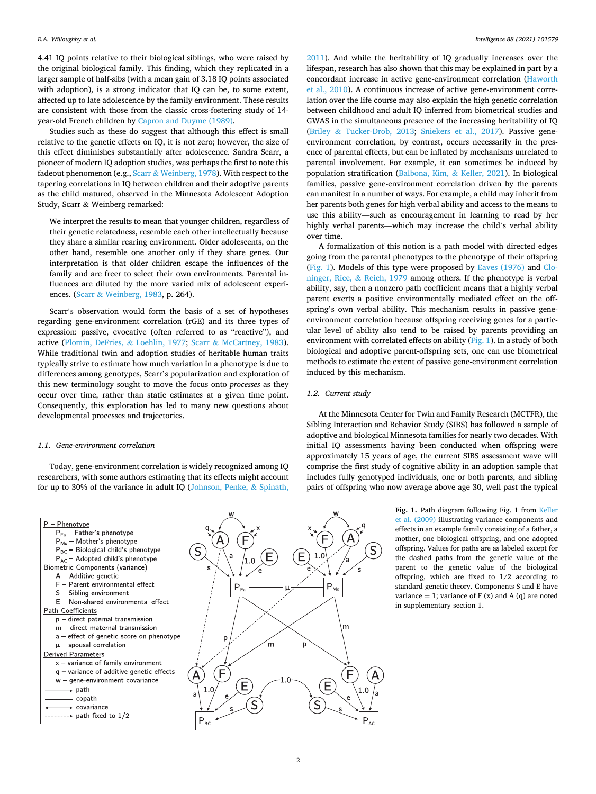<span id="page-1-0"></span>4.41 IQ points relative to their biological siblings, who were raised by the original biological family. This finding, which they replicated in a larger sample of half-sibs (with a mean gain of 3.18 IQ points associated with adoption), is a strong indicator that IQ can be, to some extent, affected up to late adolescence by the family environment. These results are consistent with those from the classic cross-fostering study of 14 year-old French children by [Capron and Duyme \(1989\).](#page-7-0)

Studies such as these do suggest that although this effect is small relative to the genetic effects on IQ, it is not zero; however, the size of this effect diminishes substantially after adolescence. Sandra Scarr, a pioneer of modern IQ adoption studies, was perhaps the first to note this fadeout phenomenon (e.g., Scarr & [Weinberg, 1978](#page-8-0)). With respect to the tapering correlations in IQ between children and their adoptive parents as the child matured, observed in the Minnesota Adolescent Adoption Study, Scarr & Weinberg remarked:

We interpret the results to mean that younger children, regardless of their genetic relatedness, resemble each other intellectually because they share a similar rearing environment. Older adolescents, on the other hand, resemble one another only if they share genes. Our interpretation is that older children escape the influences of the family and are freer to select their own environments. Parental influences are diluted by the more varied mix of adolescent experiences. (Scarr & [Weinberg, 1983](#page-8-0), p. 264).

Scarr's observation would form the basis of a set of hypotheses regarding gene-environment correlation (rGE) and its three types of expression: passive, evocative (often referred to as "reactive"), and active ([Plomin, DeFries,](#page-7-0) & Loehlin, 1977; Scarr & [McCartney, 1983](#page-8-0)). While traditional twin and adoption studies of heritable human traits typically strive to estimate how much variation in a phenotype is due to differences among genotypes, Scarr's popularization and exploration of this new terminology sought to move the focus onto *processes* as they occur over time, rather than static estimates at a given time point. Consequently, this exploration has led to many new questions about developmental processes and trajectories.

#### *1.1. Gene-environment correlation*

Today, gene-environment correlation is widely recognized among IQ researchers, with some authors estimating that its effects might account for up to 30% of the variance in adult IQ [\(Johnson, Penke,](#page-7-0) & Spinath,



[2011\)](#page-7-0). And while the heritability of IQ gradually increases over the lifespan, research has also shown that this may be explained in part by a concordant increase in active gene-environment correlation ([Haworth](#page-7-0)  [et al., 2010\)](#page-7-0). A continuous increase of active gene-environment correlation over the life course may also explain the high genetic correlation between childhood and adult IQ inferred from biometrical studies and GWAS in the simultaneous presence of the increasing heritability of IQ (Briley & [Tucker-Drob, 2013](#page-7-0); [Sniekers et al., 2017\)](#page-8-0). Passive geneenvironment correlation, by contrast, occurs necessarily in the presence of parental effects, but can be inflated by mechanisms unrelated to parental involvement. For example, it can sometimes be induced by population stratification ([Balbona, Kim,](#page-7-0) & Keller, 2021). In biological families, passive gene-environment correlation driven by the parents can manifest in a number of ways. For example, a child may inherit from her parents both genes for high verbal ability and access to the means to use this ability—such as encouragement in learning to read by her highly verbal parents—which may increase the child's verbal ability over time.

A formalization of this notion is a path model with directed edges going from the parental phenotypes to the phenotype of their offspring (Fig. 1). Models of this type were proposed by [Eaves \(1976\)](#page-7-0) and [Clo](#page-7-0)[ninger, Rice,](#page-7-0) & Reich, 1979 among others. If the phenotype is verbal ability, say, then a nonzero path coefficient means that a highly verbal parent exerts a positive environmentally mediated effect on the offspring's own verbal ability. This mechanism results in passive geneenvironment correlation because offspring receiving genes for a particular level of ability also tend to be raised by parents providing an environment with correlated effects on ability (Fig. 1). In a study of both biological and adoptive parent-offspring sets, one can use biometrical methods to estimate the extent of passive gene-environment correlation induced by this mechanism.

#### *1.2. Current study*

At the Minnesota Center for Twin and Family Research (MCTFR), the Sibling Interaction and Behavior Study (SIBS) has followed a sample of adoptive and biological Minnesota families for nearly two decades. With initial IQ assessments having been conducted when offspring were approximately 15 years of age, the current SIBS assessment wave will comprise the first study of cognitive ability in an adoption sample that includes fully genotyped individuals, one or both parents, and sibling pairs of offspring who now average above age 30, well past the typical

> Fig. 1. Path diagram following Fig. 1 from Keller [et al. \(2009\)](#page-7-0) illustrating variance components and effects in an example family consisting of a father, a mother, one biological offspring, and one adopted offspring. Values for paths are as labeled except for the dashed paths from the genetic value of the parent to the genetic value of the biological offspring, which are fixed to 1/2 according to standard genetic theory. Components S and E have variance = 1; variance of  $F(x)$  and  $A(q)$  are noted in supplementary section 1.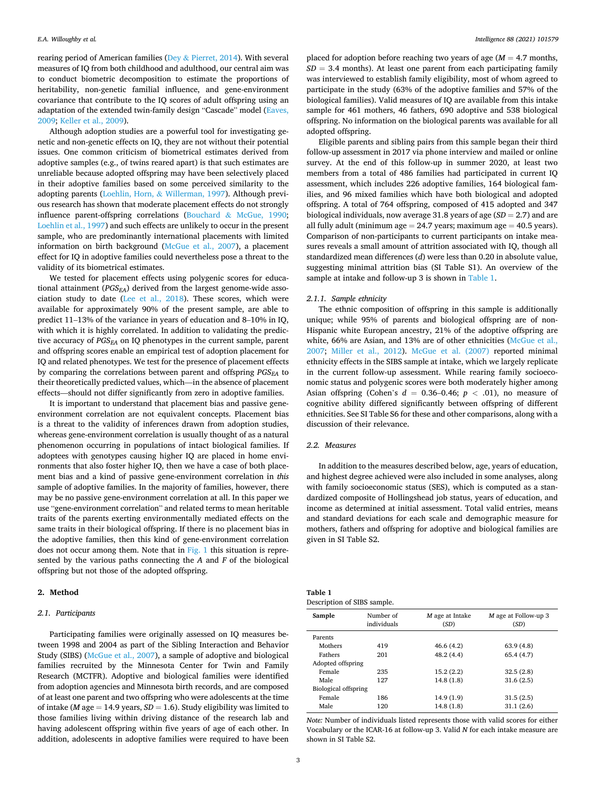rearing period of American families (Dey  $\&$  [Pierret, 2014](#page-7-0)). With several measures of IQ from both childhood and adulthood, our central aim was to conduct biometric decomposition to estimate the proportions of heritability, non-genetic familial influence, and gene-environment covariance that contribute to the IQ scores of adult offspring using an adaptation of the extended twin-family design "Cascade" model [\(Eaves,](#page-7-0)  [2009; Keller et al., 2009\)](#page-7-0).

Although adoption studies are a powerful tool for investigating genetic and non-genetic effects on IQ, they are not without their potential issues. One common criticism of biometrical estimates derived from adoptive samples (e.g., of twins reared apart) is that such estimates are unreliable because adopted offspring may have been selectively placed in their adoptive families based on some perceived similarity to the adopting parents (Loehlin, Horn, & [Willerman, 1997](#page-7-0)). Although previous research has shown that moderate placement effects do not strongly influence parent-offspring correlations (Bouchard & [McGue, 1990](#page-7-0); [Loehlin et al., 1997](#page-7-0)) and such effects are unlikely to occur in the present sample, who are predominantly international placements with limited information on birth background ([McGue et al., 2007\)](#page-7-0), a placement effect for IQ in adoptive families could nevertheless pose a threat to the validity of its biometrical estimates.

We tested for placement effects using polygenic scores for educational attainment  $(PGS<sub>EA</sub>)$  derived from the largest genome-wide association study to date [\(Lee et al., 2018\)](#page-7-0). These scores, which were available for approximately 90% of the present sample, are able to predict 11–13% of the variance in years of education and 8–10% in IQ, with which it is highly correlated. In addition to validating the predictive accuracy of *PGSEA* on IQ phenotypes in the current sample, parent and offspring scores enable an empirical test of adoption placement for IQ and related phenotypes. We test for the presence of placement effects by comparing the correlations between parent and offspring *PGS<sub>EA</sub>* to their theoretically predicted values, which—in the absence of placement effects—should not differ significantly from zero in adoptive families.

It is important to understand that placement bias and passive geneenvironment correlation are not equivalent concepts. Placement bias is a threat to the validity of inferences drawn from adoption studies, whereas gene-environment correlation is usually thought of as a natural phenomenon occurring in populations of intact biological families. If adoptees with genotypes causing higher IQ are placed in home environments that also foster higher IQ, then we have a case of both placement bias and a kind of passive gene-environment correlation in *this*  sample of adoptive families. In the majority of families, however, there may be no passive gene-environment correlation at all. In this paper we use "gene-environment correlation" and related terms to mean heritable traits of the parents exerting environmentally mediated effects on the same traits in their biological offspring. If there is no placement bias in the adoptive families, then this kind of gene-environment correlation does not occur among them. Note that in [Fig. 1](#page-1-0) this situation is represented by the various paths connecting the *A* and *F* of the biological offspring but not those of the adopted offspring.

## **2. Method**

## *2.1. Participants*

Participating families were originally assessed on IQ measures between 1998 and 2004 as part of the Sibling Interaction and Behavior Study (SIBS) [\(McGue et al., 2007\)](#page-7-0), a sample of adoptive and biological families recruited by the Minnesota Center for Twin and Family Research (MCTFR). Adoptive and biological families were identified from adoption agencies and Minnesota birth records, and are composed of at least one parent and two offspring who were adolescents at the time of intake ( $M$  age = 14.9 years,  $SD = 1.6$ ). Study eligibility was limited to those families living within driving distance of the research lab and having adolescent offspring within five years of age of each other. In addition, adolescents in adoptive families were required to have been

placed for adoption before reaching two years of age  $(M = 4.7$  months,  $SD = 3.4$  months). At least one parent from each participating family was interviewed to establish family eligibility, most of whom agreed to participate in the study (63% of the adoptive families and 57% of the biological families). Valid measures of IQ are available from this intake sample for 461 mothers, 46 fathers, 690 adoptive and 538 biological offspring. No information on the biological parents was available for all adopted offspring.

Eligible parents and sibling pairs from this sample began their third follow-up assessment in 2017 via phone interview and mailed or online survey. At the end of this follow-up in summer 2020, at least two members from a total of 486 families had participated in current IQ assessment, which includes 226 adoptive families, 164 biological families, and 96 mixed families which have both biological and adopted offspring. A total of 764 offspring, composed of 415 adopted and 347 biological individuals, now average 31.8 years of age (*SD* = 2.7) and are all fully adult (minimum age  $= 24.7$  years; maximum age  $= 40.5$  years). Comparison of non-participants to current participants on intake measures reveals a small amount of attrition associated with IQ, though all standardized mean differences (*d*) were less than 0.20 in absolute value, suggesting minimal attrition bias (SI Table S1). An overview of the sample at intake and follow-up 3 is shown in Table 1.

#### *2.1.1. Sample ethnicity*

The ethnic composition of offspring in this sample is additionally unique; while 95% of parents and biological offspring are of non-Hispanic white European ancestry, 21% of the adoptive offspring are white, 66% are Asian, and 13% are of other ethnicities ([McGue et al.,](#page-7-0)  [2007;](#page-7-0) [Miller et al., 2012\)](#page-7-0). [McGue et al. \(2007\)](#page-7-0) reported minimal ethnicity effects in the SIBS sample at intake, which we largely replicate in the current follow-up assessment. While rearing family socioeconomic status and polygenic scores were both moderately higher among Asian offspring (Cohen's  $d = 0.36-0.46$ ;  $p < .01$ ), no measure of cognitive ability differed significantly between offspring of different ethnicities. See SI Table S6 for these and other comparisons, along with a discussion of their relevance.

#### *2.2. Measures*

In addition to the measures described below, age, years of education, and highest degree achieved were also included in some analyses, along with family socioeconomic status (SES), which is computed as a standardized composite of Hollingshead job status, years of education, and income as determined at initial assessment. Total valid entries, means and standard deviations for each scale and demographic measure for mothers, fathers and offspring for adoptive and biological families are given in SI Table S2.

| Table 1                     |  |
|-----------------------------|--|
| Description of SIBS sample. |  |

| Sample                      | Number of<br>individuals | M age at Intake<br>(SD) | M age at Follow-up 3<br>(SD) |
|-----------------------------|--------------------------|-------------------------|------------------------------|
| Parents                     |                          |                         |                              |
| Mothers                     | 419                      | 46.6 (4.2)              | 63.9(4.8)                    |
| Fathers                     | 201                      | 48.2 (4.4)              | 65.4(4.7)                    |
| Adopted offspring           |                          |                         |                              |
| Female                      | 235                      | 15.2(2.2)               | 32.5(2.8)                    |
| Male                        | 127                      | 14.8(1.8)               | 31.6(2.5)                    |
| <b>Biological offspring</b> |                          |                         |                              |
| Female                      | 186                      | 14.9(1.9)               | 31.5(2.5)                    |
| Male                        | 120                      | 14.8(1.8)               | 31.1(2.6)                    |
|                             |                          |                         |                              |

*Note:* Number of individuals listed represents those with valid scores for either Vocabulary or the ICAR-16 at follow-up 3. Valid *N* for each intake measure are shown in SI Table S2.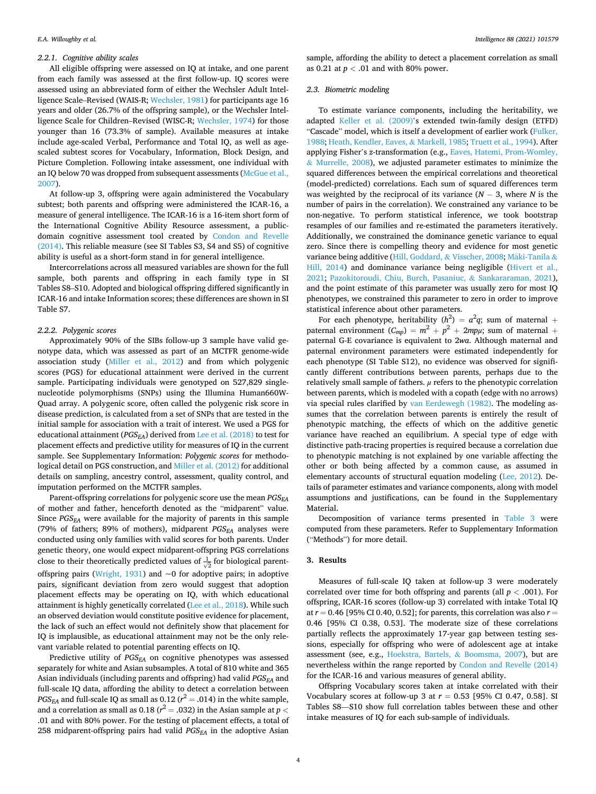#### *2.2.1. Cognitive ability scales*

All eligible offspring were assessed on IQ at intake, and one parent from each family was assessed at the first follow-up. IQ scores were assessed using an abbreviated form of either the Wechsler Adult Intelligence Scale–Revised (WAIS-R; [Wechsler, 1981\)](#page-8-0) for participants age 16 years and older (26.7% of the offspring sample), or the Wechsler Intelligence Scale for Children–Revised (WISC-R; [Wechsler, 1974\)](#page-8-0) for those younger than 16 (73.3% of sample). Available measures at intake include age-scaled Verbal, Performance and Total IQ, as well as agescaled subtest scores for Vocabulary, Information, Block Design, and Picture Completion. Following intake assessment, one individual with an IQ below 70 was dropped from subsequent assessments [\(McGue et al.,](#page-7-0)  [2007\)](#page-7-0).

At follow-up 3, offspring were again administered the Vocabulary subtest; both parents and offspring were administered the ICAR-16, a measure of general intelligence. The ICAR-16 is a 16-item short form of the International Cognitive Ability Resource assessment, a publicdomain cognitive assessment tool created by [Condon and Revelle](#page-7-0)  [\(2014\).](#page-7-0) This reliable measure (see SI Tables S3, S4 and S5) of cognitive ability is useful as a short-form stand in for general intelligence.

Intercorrelations across all measured variables are shown for the full sample, both parents and offspring in each family type in SI Tables S8–S10. Adopted and biological offspring differed significantly in ICAR-16 and intake Information scores; these differences are shown in SI Table S7.

## *2.2.2. Polygenic scores*

Approximately 90% of the SIBs follow-up 3 sample have valid genotype data, which was assessed as part of an MCTFR genome-wide association study ([Miller et al., 2012](#page-7-0)) and from which polygenic scores (PGS) for educational attainment were derived in the current sample. Participating individuals were genotyped on 527,829 singlenucleotide polymorphisms (SNPs) using the Illumina Human660W-Quad array. A polygenic score, often called the polygenic risk score in disease prediction, is calculated from a set of SNPs that are tested in the initial sample for association with a trait of interest. We used a PGS for educational attainment (*PGS<sub>EA</sub>*) derived from [Lee et al. \(2018\)](#page-7-0) to test for placement effects and predictive utility for measures of IQ in the current sample. See Supplementary Information: *Polygenic scores* for methodological detail on PGS construction, and [Miller et al. \(2012\)](#page-7-0) for additional details on sampling, ancestry control, assessment, quality control, and imputation performed on the MCTFR samples.

Parent-offspring correlations for polygenic score use the mean *PGS<sub>EA</sub>* of mother and father, henceforth denoted as the "midparent" value. Since *PGSEA* were available for the majority of parents in this sample (79% of fathers; 89% of mothers), midparent *PGSEA* analyses were conducted using only families with valid scores for both parents. Under genetic theory, one would expect midparent-offspring PGS correlations close to their theoretically predicted values of  $\frac{1}{\sqrt{2}}$  for biological parent-offspring pairs [\(Wright, 1931\)](#page-8-0) and  $\sim$ 0 for adoptive pairs; in adoptive pairs, significant deviation from zero would suggest that adoption placement effects may be operating on IQ, with which educational attainment is highly genetically correlated [\(Lee et al., 2018](#page-7-0)). While such an observed deviation would constitute positive evidence for placement, the lack of such an effect would not definitely show that placement for IQ is implausible, as educational attainment may not be the only relevant variable related to potential parenting effects on IQ.

Predictive utility of *PGSEA* on cognitive phenotypes was assessed separately for white and Asian subsamples. A total of 810 white and 365 Asian individuals (including parents and offspring) had valid *PGS<sub>EA</sub>* and full-scale IQ data, affording the ability to detect a correlation between *PGS<sub>EA</sub>* and full-scale IQ as small as  $0.12 (r^2 = .014)$  in the white sample, and a correlation as small as 0.18 ( $r^2 =$  .032) in the Asian sample at  $p <$ .01 and with 80% power. For the testing of placement effects, a total of 258 midparent-offspring pairs had valid *PGS<sub>EA</sub>* in the adoptive Asian

sample, affording the ability to detect a placement correlation as small as 0.21 at *p <* .01 and with 80% power.

## *2.3. Biometric modeling*

To estimate variance components, including the heritability, we adapted [Keller et al. \(2009\)](#page-7-0)'s extended twin-family design (ETFD) "Cascade" model, which is itself a development of earlier work (Fulker, [1988; Heath, Kendler, Eaves,](#page-7-0) & Markell, 1985; [Truett et al., 1994\)](#page-8-0). After applying Fisher's *z*-transformation (e.g., [Eaves, Hatemi, Prom-Womley,](#page-7-0)  & [Murrelle, 2008\)](#page-7-0), we adjusted parameter estimates to minimize the squared differences between the empirical correlations and theoretical (model-predicted) correlations. Each sum of squared differences term was weighted by the reciprocal of its variance (*N* − 3, where *N* is the number of pairs in the correlation). We constrained any variance to be non-negative. To perform statistical inference, we took bootstrap resamples of our families and re-estimated the parameters iteratively. Additionally, we constrained the dominance genetic variance to equal zero. Since there is compelling theory and evidence for most genetic variance being additive ([Hill, Goddard,](#page-7-0) & Visscher, 2008; Mäki-Tanila & [Hill, 2014\)](#page-7-0) and dominance variance being negligible ([Hivert et al.,](#page-7-0)  [2021;](#page-7-0) [Pazokitoroudi, Chiu, Burch, Pasaniuc,](#page-7-0) & Sankararaman, 2021), and the point estimate of this parameter was usually zero for most IQ phenotypes, we constrained this parameter to zero in order to improve statistical inference about other parameters.

For each phenotype, heritability  $(h^2) = a^2q$ ; sum of maternal + paternal environment  $(C_{mp}) = m^2 + p^2 + 2mp\mu$ ; sum of maternal + paternal G-E covariance is equivalent to 2*wa*. Although maternal and paternal environment parameters were estimated independently for each phenotype (SI Table S12), no evidence was observed for significantly different contributions between parents, perhaps due to the relatively small sample of fathers. *μ* refers to the phenotypic correlation between parents, which is modeled with a copath (edge with no arrows) via special rules clarified by [van Eerdewegh \(1982\)](#page-7-0). The modeling assumes that the correlation between parents is entirely the result of phenotypic matching, the effects of which on the additive genetic variance have reached an equilibrium. A special type of edge with distinctive path-tracing properties is required because a correlation due to phenotypic matching is not explained by one variable affecting the other or both being affected by a common cause, as assumed in elementary accounts of structural equation modeling [\(Lee, 2012\)](#page-7-0). Details of parameter estimates and variance components, along with model assumptions and justifications, can be found in the Supplementary Material.

Decomposition of variance terms presented in [Table 3](#page-5-0) were computed from these parameters. Refer to Supplementary Information ("Methods") for more detail.

#### **3. Results**

Measures of full-scale IQ taken at follow-up 3 were moderately correlated over time for both offspring and parents (all *p <* .001). For offspring, ICAR-16 scores (follow-up 3) correlated with intake Total IQ at *r* = 0.46 [95% CI 0.40, 0.52]; for parents, this correlation was also *r* = 0.46 [95% CI 0.38, 0.53]. The moderate size of these correlations partially reflects the approximately 17-year gap between testing sessions, especially for offspring who were of adolescent age at intake assessment (see, e.g., [Hoekstra, Bartels,](#page-7-0) & Boomsma, 2007), but are nevertheless within the range reported by [Condon and Revelle \(2014\)](#page-7-0)  for the ICAR-16 and various measures of general ability.

Offspring Vocabulary scores taken at intake correlated with their Vocabulary scores at follow-up 3 at *r* = 0.53 [95% CI 0.47, 0.58]. SI Tables S8—S10 show full correlation tables between these and other intake measures of IQ for each sub-sample of individuals.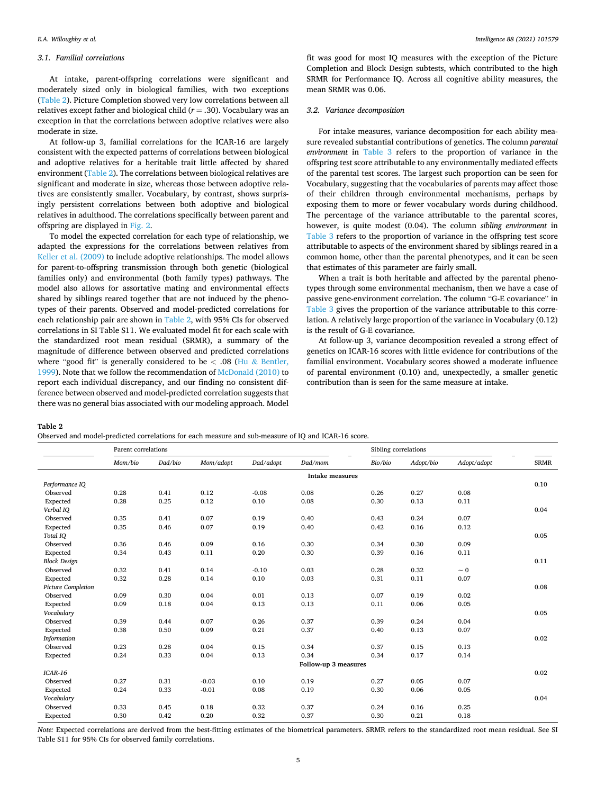## *3.1. Familial correlations*

At intake, parent-offspring correlations were significant and moderately sized only in biological families, with two exceptions (Table 2). Picture Completion showed very low correlations between all relatives except father and biological child (*r* = .30). Vocabulary was an exception in that the correlations between adoptive relatives were also moderate in size.

At follow-up 3, familial correlations for the ICAR-16 are largely consistent with the expected patterns of correlations between biological and adoptive relatives for a heritable trait little affected by shared environment (Table 2). The correlations between biological relatives are significant and moderate in size, whereas those between adoptive relatives are consistently smaller. Vocabulary, by contrast, shows surprisingly persistent correlations between both adoptive and biological relatives in adulthood. The correlations specifically between parent and offspring are displayed in [Fig. 2](#page-5-0).

To model the expected correlation for each type of relationship, we adapted the expressions for the correlations between relatives from [Keller et al. \(2009\)](#page-7-0) to include adoptive relationships. The model allows for parent-to-offspring transmission through both genetic (biological families only) and environmental (both family types) pathways. The model also allows for assortative mating and environmental effects shared by siblings reared together that are not induced by the phenotypes of their parents. Observed and model-predicted correlations for each relationship pair are shown in Table 2, with 95% CIs for observed correlations in SI Table S11. We evaluated model fit for each scale with the standardized root mean residual (SRMR), a summary of the magnitude of difference between observed and predicted correlations where "good fit" is generally considered to be *<* .08 (Hu & [Bentler,](#page-7-0)  [1999\)](#page-7-0). Note that we follow the recommendation of [McDonald \(2010\)](#page-7-0) to report each individual discrepancy, and our finding no consistent difference between observed and model-predicted correlation suggests that there was no general bias associated with our modeling approach. Model

fit was good for most IQ measures with the exception of the Picture Completion and Block Design subtests, which contributed to the high SRMR for Performance IQ. Across all cognitive ability measures, the mean SRMR was 0.06.

## *3.2. Variance decomposition*

For intake measures, variance decomposition for each ability measure revealed substantial contributions of genetics. The column *parental environment* in [Table 3](#page-5-0) refers to the proportion of variance in the offspring test score attributable to any environmentally mediated effects of the parental test scores. The largest such proportion can be seen for Vocabulary, suggesting that the vocabularies of parents may affect those of their children through environmental mechanisms, perhaps by exposing them to more or fewer vocabulary words during childhood. The percentage of the variance attributable to the parental scores, however, is quite modest (0.04). The column *sibling environment* in [Table 3](#page-5-0) refers to the proportion of variance in the offspring test score attributable to aspects of the environment shared by siblings reared in a common home, other than the parental phenotypes, and it can be seen that estimates of this parameter are fairly small.

When a trait is both heritable and affected by the parental phenotypes through some environmental mechanism, then we have a case of passive gene-environment correlation. The column "G-E covariance" in [Table 3](#page-5-0) gives the proportion of the variance attributable to this correlation. A relatively large proportion of the variance in Vocabulary (0.12) is the result of G-E covariance.

At follow-up 3, variance decomposition revealed a strong effect of genetics on ICAR-16 scores with little evidence for contributions of the familial environment. Vocabulary scores showed a moderate influence of parental environment (0.10) and, unexpectedly, a smaller genetic contribution than is seen for the same measure at intake.

**Table 2** 

Observed and model-predicted correlations for each measure and sub-measure of IQ and ICAR-16 score.

|                     | Parent correlations  |         |           |           | Sibling correlations   |         |           |             |             |
|---------------------|----------------------|---------|-----------|-----------|------------------------|---------|-----------|-------------|-------------|
|                     | Mom/bio              | Dad/bio | Mom/adopt | Dad/adopt | Dad/mom                | Bio/bio | Adopt/bio | Adopt/adopt | <b>SRMR</b> |
|                     |                      |         |           |           | <b>Intake measures</b> |         |           |             |             |
| Performance IQ      |                      |         |           |           |                        |         |           |             | 0.10        |
| Observed            | 0.28                 | 0.41    | 0.12      | $-0.08$   | 0.08                   | 0.26    | 0.27      | 0.08        |             |
| Expected            | 0.28                 | 0.25    | 0.12      | 0.10      | 0.08                   | 0.30    | 0.13      | 0.11        |             |
| Verbal IQ           |                      |         |           |           |                        |         |           |             | 0.04        |
| Observed            | 0.35                 | 0.41    | 0.07      | 0.19      | 0.40                   | 0.43    | 0.24      | 0.07        |             |
| Expected            | 0.35                 | 0.46    | 0.07      | 0.19      | 0.40                   | 0.42    | 0.16      | 0.12        |             |
| Total IQ            |                      |         |           |           |                        |         |           |             | 0.05        |
| Observed            | 0.36                 | 0.46    | 0.09      | 0.16      | 0.30                   | 0.34    | 0.30      | 0.09        |             |
| Expected            | 0.34                 | 0.43    | 0.11      | 0.20      | 0.30                   | 0.39    | 0.16      | 0.11        |             |
| <b>Block Design</b> |                      |         |           |           |                        |         |           |             | 0.11        |
| Observed            | 0.32                 | 0.41    | 0.14      | $-0.10$   | 0.03                   | 0.28    | 0.32      | $\sim 0$    |             |
| Expected            | 0.32                 | 0.28    | 0.14      | 0.10      | 0.03                   | 0.31    | 0.11      | 0.07        |             |
| Picture Completion  |                      |         |           |           |                        |         |           |             | 0.08        |
| Observed            | 0.09                 | 0.30    | 0.04      | 0.01      | 0.13                   | 0.07    | 0.19      | 0.02        |             |
| Expected            | 0.09                 | 0.18    | 0.04      | 0.13      | 0.13                   | 0.11    | 0.06      | 0.05        |             |
| Vocabulary          |                      |         |           |           |                        |         |           |             | 0.05        |
| Observed            | 0.39                 | 0.44    | 0.07      | 0.26      | 0.37                   | 0.39    | 0.24      | 0.04        |             |
| Expected            | 0.38                 | 0.50    | 0.09      | 0.21      | 0.37                   | 0.40    | 0.13      | 0.07        |             |
| <b>Information</b>  |                      |         |           |           |                        |         |           |             | 0.02        |
| Observed            | 0.23                 | 0.28    | 0.04      | 0.15      | 0.34                   | 0.37    | 0.15      | 0.13        |             |
| Expected            | 0.24                 | 0.33    | 0.04      | 0.13      | 0.34                   | 0.34    | 0.17      | 0.14        |             |
|                     | Follow-up 3 measures |         |           |           |                        |         |           |             |             |
| $ICAR-16$           |                      |         |           |           |                        |         |           |             | 0.02        |
| Observed            | 0.27                 | 0.31    | $-0.03$   | 0.10      | 0.19                   | 0.27    | 0.05      | 0.07        |             |
| Expected            | 0.24                 | 0.33    | $-0.01$   | 0.08      | 0.19                   | 0.30    | 0.06      | 0.05        |             |
| Vocabulary          |                      |         |           |           |                        |         |           |             | 0.04        |
| Observed            | 0.33                 | 0.45    | 0.18      | 0.32      | 0.37                   | 0.24    | 0.16      | 0.25        |             |
| Expected            | 0.30                 | 0.42    | 0.20      | 0.32      | 0.37                   | 0.30    | 0.21      | 0.18        |             |

*Note:* Expected correlations are derived from the best-fitting estimates of the biometrical parameters. SRMR refers to the standardized root mean residual. See SI Table S11 for 95% CIs for observed family correlations.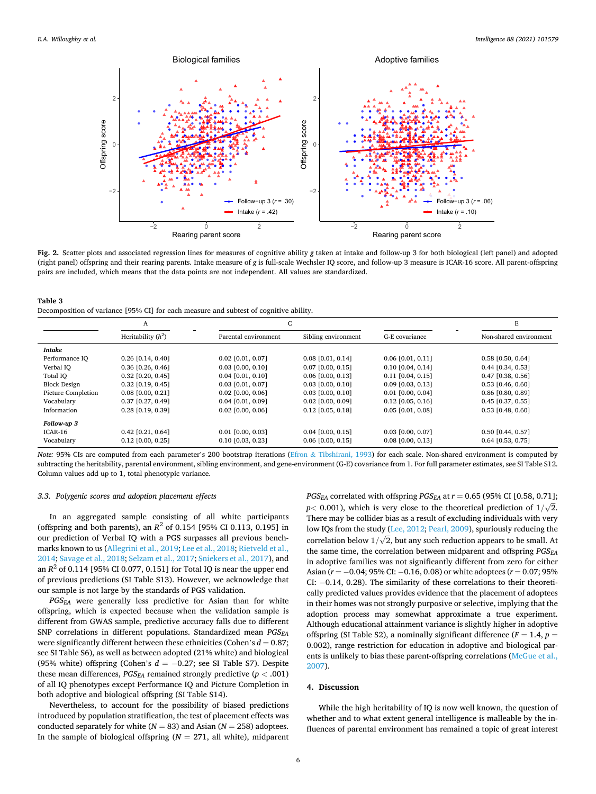<span id="page-5-0"></span>

**Fig. 2.** Scatter plots and associated regression lines for measures of cognitive ability *g* taken at intake and follow-up 3 for both biological (left panel) and adopted (right panel) offspring and their rearing parents. Intake measure of *g* is full-scale Wechsler IQ score, and follow-up 3 measure is ICAR-16 score. All parent-offspring pairs are included, which means that the data points are not independent. All values are standardized.

| Table 3                                                                               |
|---------------------------------------------------------------------------------------|
| Decomposition of variance [95% CI] for each measure and subtest of cognitive ability. |

|                     | A                    |                      | C                   |                     |                        |
|---------------------|----------------------|----------------------|---------------------|---------------------|------------------------|
|                     | Heritability $(h^2)$ | Parental environment | Sibling environment | G-E covariance      | Non-shared environment |
| Intake              |                      |                      |                     |                     |                        |
| Performance IQ      | $0.26$ [0.14, 0.40]  | $0.02$ [0.01, 0.07]  | $0.08$ [0.01, 0.14] | $0.06$ [0.01, 0.11] | $0.58$ [0.50, 0.64]    |
| Verbal IQ           | $0.36$ [0.26, 0.46]  | $0.03$ [0.00, 0.10]  | $0.07$ [0.00, 0.15] | $0.10$ [0.04, 0.14] | $0.44$ [0.34, 0.53]    |
| Total IQ            | $0.32$ [0.20, 0.45]  | $0.04$ [0.01, 0.10]  | $0.06$ [0.00, 0.13] | $0.11$ [0.04, 0.15] | $0.47$ [0.38, 0.56]    |
| <b>Block Design</b> | $0.32$ [0.19, 0.45]  | $0.03$ [0.01, 0.07]  | $0.03$ [0.00, 0.10] | $0.09$ [0.03, 0.13] | $0.53$ [0.46, 0.60]    |
| Picture Completion  | $0.08$ [0.00, 0.21]  | $0.02$ [0.00, 0.06]  | $0.03$ [0.00, 0.10] | $0.01$ [0.00, 0.04] | $0.86$ [0.80, 0.89]    |
| Vocabulary          | $0.37$ [0.27, 0.49]  | $0.04$ [0.01, 0.09]  | $0.02$ [0.00, 0.09] | $0.12$ [0.05, 0.16] | $0.45$ [0.37, 0.55]    |
| Information         | $0.28$ [0.19, 0.39]  | $0.02$ [0.00, 0.06]  | $0.12$ [0.05, 0.18] | $0.05$ [0.01, 0.08] | $0.53$ [0.48, 0.60]    |
| Follow-up 3         |                      |                      |                     |                     |                        |
| ICAR-16             | $0.42$ [0.21, 0.64]  | $0.01$ [0.00, 0.03]  | $0.04$ [0.00, 0.15] | $0.03$ [0.00, 0.07] | $0.50$ [0.44, 0.57]    |
| Vocabulary          | $0.12$ [0.00, 0.25]  | $0.10$ [0.03, 0.23]  | $0.06$ [0.00, 0.15] | $0.08$ [0.00, 0.13] | $0.64$ [0.53, 0.75]    |

*Note:* 95% CIs are computed from each parameter's 200 bootstrap iterations (Efron & [Tibshirani, 1993\)](#page-7-0) for each scale. Non-shared environment is computed by subtracting the heritability, parental environment, sibling environment, and gene-environment (G-E) covariance from 1. For full parameter estimates, see SI Table S12. Column values add up to 1, total phenotypic variance.

#### *3.3. Polygenic scores and adoption placement effects*

In an aggregated sample consisting of all white participants (offspring and both parents), an  $R^2$  of 0.154 [95% CI 0.113, 0.195] in our prediction of Verbal IQ with a PGS surpasses all previous benchmarks known to us [\(Allegrini et al., 2019](#page-7-0); [Lee et al., 2018;](#page-7-0) [Rietveld et al.,](#page-8-0)  [2014; Savage et al., 2018; Selzam et al., 2017](#page-8-0); [Sniekers et al., 2017\)](#page-8-0), and an  $R^2$  of 0.114 [95% CI 0.077, 0.151] for Total IQ is near the upper end of previous predictions (SI Table S13). However, we acknowledge that our sample is not large by the standards of PGS validation.

*PGSEA* were generally less predictive for Asian than for white offspring, which is expected because when the validation sample is different from GWAS sample, predictive accuracy falls due to different SNP correlations in different populations. Standardized mean *PGS<sub>EA</sub>* were significantly different between these ethnicities (Cohen's  $d = 0.87$ ; see SI Table S6), as well as between adopted (21% white) and biological (95% white) offspring (Cohen's  $d = -0.27$ ; see SI Table S7). Despite these mean differences,  $PGS_{EA}$  remained strongly predictive ( $p < .001$ ) of all IQ phenotypes except Performance IQ and Picture Completion in both adoptive and biological offspring (SI Table S14).

Nevertheless, to account for the possibility of biased predictions introduced by population stratification, the test of placement effects was conducted separately for white  $(N = 83)$  and Asian  $(N = 258)$  adoptees. In the sample of biological offspring  $(N = 271,$  all white), midparent

*PGSEA* correlated with offspring *PGSEA* at *r* = 0.65 (95% CI [0.58, 0.71]; *p* $\lt$  0.001), which is very close to the theoretical prediction of  $1/\sqrt{2}$ . There may be collider bias as a result of excluding individuals with very low IQs from the study [\(Lee, 2012; Pearl, 2009\)](#page-7-0), spuriously reducing the  $\frac{1}{\sqrt{2}}$ , but any such reduction appears to be small. At correlation below  $1/\sqrt{2}$ , but any such reduction appears to be small. At the same time, the correlation between midparent and offspring  $PGS_{EA}$ in adoptive families was not significantly different from zero for either Asian (*r* = −0.04; 95% CI: −0.16, 0.08) or white adoptees (*r* = 0.07; 95% CI: −0.14, 0.28). The similarity of these correlations to their theoretically predicted values provides evidence that the placement of adoptees in their homes was not strongly purposive or selective, implying that the adoption process may somewhat approximate a true experiment. Although educational attainment variance is slightly higher in adoptive offspring (SI Table S2), a nominally significant difference  $(F = 1.4, p = 1.4)$ 0.002), range restriction for education in adoptive and biological parents is unlikely to bias these parent-offspring correlations ([McGue et al.,](#page-7-0)  [2007\)](#page-7-0).

#### **4. Discussion**

While the high heritability of IQ is now well known, the question of whether and to what extent general intelligence is malleable by the influences of parental environment has remained a topic of great interest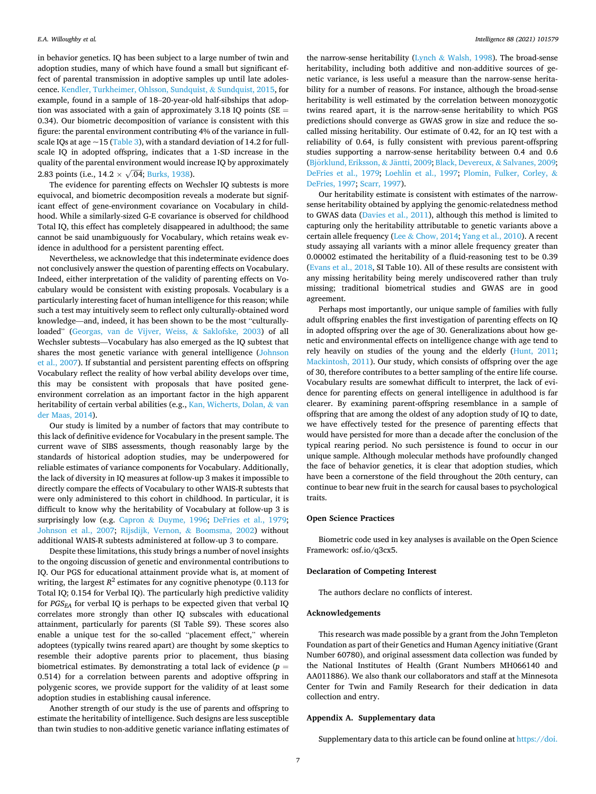in behavior genetics. IQ has been subject to a large number of twin and adoption studies, many of which have found a small but significant effect of parental transmission in adoptive samples up until late adolescence. [Kendler, Turkheimer, Ohlsson, Sundquist,](#page-7-0) & Sundquist, 2015, for example, found in a sample of 18–20-year-old half-sibships that adoption was associated with a gain of approximately 3.18 IQ points ( $SE =$ 0.34). Our biometric decomposition of variance is consistent with this figure: the parental environment contributing 4% of the variance in fullscale IQs at age  $\sim$ 15 ([Table 3\)](#page-5-0), with a standard deviation of 14.2 for fullscale IQ in adopted offspring, indicates that a 1-SD increase in the quality of the parental environment would increase IQ by approximately 2.83 points (i.e.,  $14.2 \times \sqrt{.04}$ ; [Burks, 1938\)](#page-7-0).

The evidence for parenting effects on Wechsler IQ subtests is more equivocal, and biometric decomposition reveals a moderate but significant effect of gene-environment covariance on Vocabulary in childhood. While a similarly-sized G-E covariance is observed for childhood Total IQ, this effect has completely disappeared in adulthood; the same cannot be said unambiguously for Vocabulary, which retains weak evidence in adulthood for a persistent parenting effect.

Nevertheless, we acknowledge that this indeterminate evidence does not conclusively answer the question of parenting effects on Vocabulary. Indeed, either interpretation of the validity of parenting effects on Vocabulary would be consistent with existing proposals. Vocabulary is a particularly interesting facet of human intelligence for this reason; while such a test may intuitively seem to reflect only culturally-obtained word knowledge—and, indeed, it has been shown to be the most "culturallyloaded" [\(Georgas, van de Vijver, Weiss,](#page-7-0) & Saklofske, 2003) of all Wechsler subtests—Vocabulary has also emerged as the IQ subtest that shares the most genetic variance with general intelligence [\(Johnson](#page-7-0)  [et al., 2007\)](#page-7-0). If substantial and persistent parenting effects on offspring Vocabulary reflect the reality of how verbal ability develops over time, this may be consistent with proposals that have posited geneenvironment correlation as an important factor in the high apparent heritability of certain verbal abilities (e.g., [Kan, Wicherts, Dolan,](#page-7-0) & van [der Maas, 2014](#page-7-0)).

Our study is limited by a number of factors that may contribute to this lack of definitive evidence for Vocabulary in the present sample. The current wave of SIBS assessments, though reasonably large by the standards of historical adoption studies, may be underpowered for reliable estimates of variance components for Vocabulary. Additionally, the lack of diversity in IQ measures at follow-up 3 makes it impossible to directly compare the effects of Vocabulary to other WAIS-R subtests that were only administered to this cohort in childhood. In particular, it is difficult to know why the heritability of Vocabulary at follow-up 3 is surprisingly low (e.g. Capron & [Duyme, 1996](#page-7-0); [DeFries et al., 1979](#page-7-0); [Johnson et al., 2007](#page-7-0); [Rijsdijk, Vernon,](#page-8-0) & Boomsma, 2002) without additional WAIS-R subtests administered at follow-up 3 to compare.

Despite these limitations, this study brings a number of novel insights to the ongoing discussion of genetic and environmental contributions to IQ. Our PGS for educational attainment provide what is, at moment of writing, the largest  $R^2$  estimates for any cognitive phenotype (0.113 for Total IQ; 0.154 for Verbal IQ). The particularly high predictive validity for *PGSEA* for verbal IQ is perhaps to be expected given that verbal IQ correlates more strongly than other IQ subscales with educational attainment, particularly for parents (SI Table S9). These scores also enable a unique test for the so-called "placement effect," wherein adoptees (typically twins reared apart) are thought by some skeptics to resemble their adoptive parents prior to placement, thus biasing biometrical estimates. By demonstrating a total lack of evidence  $(p =$ 0.514) for a correlation between parents and adoptive offspring in polygenic scores, we provide support for the validity of at least some adoption studies in establishing causal inference.

Another strength of our study is the use of parents and offspring to estimate the heritability of intelligence. Such designs are less susceptible than twin studies to non-additive genetic variance inflating estimates of

the narrow-sense heritability (Lynch & [Walsh, 1998](#page-7-0)). The broad-sense heritability, including both additive and non-additive sources of genetic variance, is less useful a measure than the narrow-sense heritability for a number of reasons. For instance, although the broad-sense heritability is well estimated by the correlation between monozygotic twins reared apart, it is the narrow-sense heritability to which PGS predictions should converge as GWAS grow in size and reduce the socalled missing heritability. Our estimate of 0.42, for an IQ test with a reliability of 0.64, is fully consistent with previous parent-offspring studies supporting a narrow-sense heritability between 0.4 and 0.6 (Björklund, Eriksson, & Jäntti, 2009; [Black, Devereux,](#page-7-0) & Salvanes, 2009; [DeFries et al., 1979](#page-7-0); [Loehlin et al., 1997;](#page-7-0) [Plomin, Fulker, Corley,](#page-7-0) & [DeFries, 1997;](#page-7-0) [Scarr, 1997\)](#page-8-0).

Our heritability estimate is consistent with estimates of the narrowsense heritability obtained by applying the genomic-relatedness method to GWAS data [\(Davies et al., 2011](#page-7-0)), although this method is limited to capturing only the heritability attributable to genetic variants above a certain allele frequency (Lee & [Chow, 2014](#page-7-0); [Yang et al., 2010](#page-8-0)). A recent study assaying all variants with a minor allele frequency greater than 0.00002 estimated the heritability of a fluid-reasoning test to be 0.39 ([Evans et al., 2018](#page-7-0), SI Table 10). All of these results are consistent with any missing heritability being merely undiscovered rather than truly missing; traditional biometrical studies and GWAS are in good agreement.

Perhaps most importantly, our unique sample of families with fully adult offspring enables the first investigation of parenting effects on IQ in adopted offspring over the age of 30. Generalizations about how genetic and environmental effects on intelligence change with age tend to rely heavily on studies of the young and the elderly [\(Hunt, 2011](#page-7-0); [Mackintosh, 2011\)](#page-7-0). Our study, which consists of offspring over the age of 30, therefore contributes to a better sampling of the entire life course. Vocabulary results are somewhat difficult to interpret, the lack of evidence for parenting effects on general intelligence in adulthood is far clearer. By examining parent-offspring resemblance in a sample of offspring that are among the oldest of any adoption study of IQ to date, we have effectively tested for the presence of parenting effects that would have persisted for more than a decade after the conclusion of the typical rearing period. No such persistence is found to occur in our unique sample. Although molecular methods have profoundly changed the face of behavior genetics, it is clear that adoption studies, which have been a cornerstone of the field throughout the 20th century, can continue to bear new fruit in the search for causal bases to psychological traits.

## **Open Science Practices**

Biometric code used in key analyses is available on the Open Science Framework: osf.io/q3cx5.

#### **Declaration of Competing Interest**

The authors declare no conflicts of interest.

## **Acknowledgements**

This research was made possible by a grant from the John Templeton Foundation as part of their Genetics and Human Agency initiative (Grant Number 60780), and original assessment data collection was funded by the National Institutes of Health (Grant Numbers MH066140 and AA011886). We also thank our collaborators and staff at the Minnesota Center for Twin and Family Research for their dedication in data collection and entry.

### **Appendix A. Supplementary data**

Supplementary data to this article can be found online at [https://doi.](https://doi.org/10.1016/j.intell.2021.101579)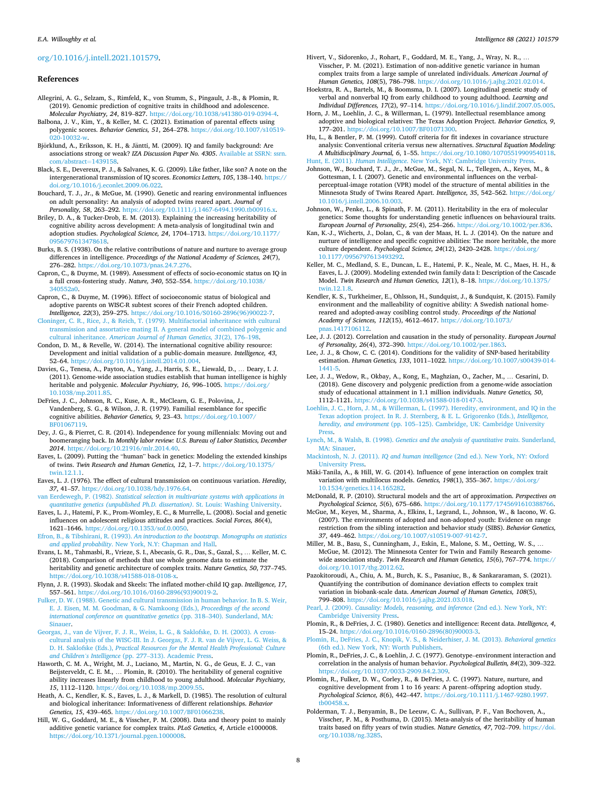#### <span id="page-7-0"></span>[org/10.1016/j.intell.2021.101579](https://doi.org/10.1016/j.intell.2021.101579).

#### **References**

- Allegrini, A. G., Selzam, S., Rimfeld, K., von Stumm, S., Pingault, J.-B., & Plomin, R. (2019). Genomic prediction of cognitive traits in childhood and adolescence. *Molecular Psychiatry, 24*, 819–827. [https://doi.org/10.1038/s41380-019-0394-4.](https://doi.org/10.1038/s41380-019-0394-4)
- Balbona, J. V., Kim, Y., & Keller, M. C. (2021). Estimation of parental effects using polygenic scores. *Behavior Genetics, 51*, 264–278. [https://doi.org/10.1007/s10519-](https://doi.org/10.1007/s10519-020-10032-w)  [020-10032-w](https://doi.org/10.1007/s10519-020-10032-w).
- Björklund, A., Eriksson, K. H., & Jäntti, M. (2009). IQ and family background: Are associations strong or weak? *IZA Discussion Paper No. 4305*. [Available at SSRN: ssrn.](https://ssrn.com/abstract=1439158)  [com/abstract](https://ssrn.com/abstract=1439158)=1439158.
- Black, S. E., Devereux, P. J., & Salvanes, K. G. (2009). Like father, like son? A note on the intergenerational transmission of IQ scores. *Economics Letters, 105*, 138–140. [https://](https://doi.org/10.1016/j.econlet.2009.06.022)  [doi.org/10.1016/j.econlet.2009.06.022.](https://doi.org/10.1016/j.econlet.2009.06.022)
- Bouchard, T. J., Jr., & McGue, M. (1990). Genetic and rearing environmental influences on adult personality: An analysis of adopted twins reared apart. *Journal of Personality, 58*, 263–292. <https://doi.org/10.1111/j.1467-6494.1990.tb00916.x>.
- Briley, D. A., & Tucker-Drob, E. M. (2013). Explaining the increasing heritability of cognitive ability across development: A meta-analysis of longitudinal twin and adoption studies. *Psychological Science, 24*, 1704–1713. [https://doi.org/10.1177/](https://doi.org/10.1177/0956797613478618)  [0956797613478618.](https://doi.org/10.1177/0956797613478618)
- Burks, B. S. (1938). On the relative contributions of nature and nurture to average group differences in intelligence. *Proceedings of the National Academy of Sciences, 24*(7), 276–282. [https://doi.org/10.1073/pnas.24.7.276.](https://doi.org/10.1073/pnas.24.7.276)
- Capron, C., & Duyme, M. (1989). Assessment of effects of socio-economic status on IQ in a full cross-fostering study. *Nature, 340*, 552–554. [https://doi.org/10.1038/](https://doi.org/10.1038/340552a0)  [340552a0.](https://doi.org/10.1038/340552a0)
- Capron, C., & Duyme, M. (1996). Effect of socioeconomic status of biological and adoptive parents on WISC-R subtest scores of their French adopted children. *Intelligence, 22*(3), 259–275. [https://doi.org/10.1016/S0160-2896\(96\)90022-7.](https://doi.org/10.1016/S0160-2896(96)90022-7)
- [Cloninger, C. R., Rice, J., & Reich, T. \(1979\). Multifactorial inheritance with cultural](http://refhub.elsevier.com/S0160-2896(21)00063-5/rf0050) [transmission and assortative mating II. A general model of combined polygenic and](http://refhub.elsevier.com/S0160-2896(21)00063-5/rf0050)  cultural inheritance. *[American Journal of Human Genetics, 31](http://refhub.elsevier.com/S0160-2896(21)00063-5/rf0050)*(2), 176–198.
- Condon, D. M., & Revelle, W. (2014). The international cognitive ability resource: Development and initial validation of a public-domain measure. *Intelligence, 43*, 52–64. [https://doi.org/10.1016/j.intell.2014.01.004.](https://doi.org/10.1016/j.intell.2014.01.004)
- Davies, G., Tenesa, A., Payton, A., Yang, J., Harris, S. E., Liewald, D., … Deary, I. J. (2011). Genome-wide association studies establish that human intelligence is highly heritable and polygenic. *Molecular Psychiatry, 16*, 996–1005. [https://doi.org/](https://doi.org/10.1038/mp.2011.85)  [10.1038/mp.2011.85](https://doi.org/10.1038/mp.2011.85).
- DeFries, J. C., Johnson, R. C., Kuse, A. R., McClearn, G. E., Polovina, J., Vandenberg, S. G., & Wilson, J. R. (1979). Familial resemblance for specific cognitive abilities. *Behavior Genetics, 9*, 23–43. [https://doi.org/10.1007/](https://doi.org/10.1007/BF01067119) [BF01067119.](https://doi.org/10.1007/BF01067119)
- Dey, J. G., & Pierret, C. R. (2014). Independence for young millennials: Moving out and boomeranging back. In *Monthly labor review: U.S. Bureau of Labor Statistics, December 2014*. [https://doi.org/10.21916/mlr.2014.40.](https://doi.org/10.21916/mlr.2014.40)
- Eaves, L. (2009). Putting the "human" back in genetics: Modeling the extended kinships of twins. *Twin Research and Human Genetics, 12*, 1–7. [https://doi.org/10.1375/](https://doi.org/10.1375/twin.12.1.1)  [twin.12.1.1.](https://doi.org/10.1375/twin.12.1.1)
- Eaves, L. J. (1976). The effect of cultural transmission on continuous variation. *Heredity, 37*, 41–57. [https://doi.org/10.1038/hdy.1976.64.](https://doi.org/10.1038/hdy.1976.64)
- van Eerdewegh, P. (1982). *[Statistical selection in multivariate systems with applications in](http://refhub.elsevier.com/S0160-2896(21)00063-5/rf0090) [quantitative genetics \(unpublished Ph.D. dissertation\)](http://refhub.elsevier.com/S0160-2896(21)00063-5/rf0090)*. St. Louis: Washing University.
- Eaves, L. J., Hatemi, P. K., Prom-Womley, E. C., & Murrelle, L. (2008). Social and genetic influences on adolescent religious attitudes and practices. *Social Forces, 86*(4), 1621–1646. [https://doi.org/10.1353/sof.0.0050.](https://doi.org/10.1353/sof.0.0050)
- Efron, B., & Tibshirani, R. (1993). *[An introduction to the bootstrap. Monographs on statistics](http://refhub.elsevier.com/S0160-2896(21)00063-5/rf0095)  and applied probability*[. New York, N.Y: Chapman and Hall](http://refhub.elsevier.com/S0160-2896(21)00063-5/rf0095).
- Evans, L. M., Tahmasbi, R., Vrieze, S. I., Abecasis, G. R., Das, S., Gazal, S., … Keller, M. C. (2018). Comparison of methods that use whole genome data to estimate the heritability and genetic architecture of complex traits. *Nature Genetics, 50*, 737–745. https://doi.org/10.1038/s41588-018-0108-
- Flynn, J. R. (1993). Skodak and Skeels: The inflated mother-child IQ gap. *Intelligence, 17*, 557–561. [https://doi.org/10.1016/0160-2896\(93\)90019-2](https://doi.org/10.1016/0160-2896(93)90019-2).
- [Fulker, D. W. \(1988\). Genetic and cultural transmission in human behavior. In B. S. Weir,](http://refhub.elsevier.com/S0160-2896(21)00063-5/rf0110)  [E. J. Eisen, M. M. Goodman, & G. Namkoong \(Eds.\),](http://refhub.elsevier.com/S0160-2896(21)00063-5/rf0110) *Proceedings of the second [international conference on quantitative genetics](http://refhub.elsevier.com/S0160-2896(21)00063-5/rf0110)* (pp. 318–340). Sunderland, MA: [Sinauer.](http://refhub.elsevier.com/S0160-2896(21)00063-5/rf0110)
- [Georgas, J., van de Vijver, F. J. R., Weiss, L. G., & Saklofske, D. H. \(2003\). A cross](http://refhub.elsevier.com/S0160-2896(21)00063-5/rf0115)[cultural analysis of the WISC-III. In J. Georgas, F. J. R. van de Vijver, L. G. Weiss, &](http://refhub.elsevier.com/S0160-2896(21)00063-5/rf0115)  D. H. Saklofske (Eds.), *[Practical Resources for the Mental Health Professional: Culture](http://refhub.elsevier.com/S0160-2896(21)00063-5/rf0115) and Children's Intelligence* (pp. 277–[313\). Academic Press](http://refhub.elsevier.com/S0160-2896(21)00063-5/rf0115).
- Haworth, C. M. A., Wright, M. J., Luciano, M., Martin, N. G., de Geus, E. J. C., van Beijsterveldt, C. E. M., … Plomin, R. (2010). The heritability of general cognitive ability increases linearly from childhood to young adulthood. *Molecular Psychiatry,*  15, 1112-1120. https://doi.org/10.1038/mp.200
- Heath, A. C., Kendler, K. S., Eaves, L. J., & Markell, D. (1985). The resolution of cultural and biological inheritance: Informativeness of different relationships. *Behavior Genetics, 15*, 439–465. [https://doi.org/10.1007/BF01066238.](https://doi.org/10.1007/BF01066238)
- Hill, W. G., Goddard, M. E., & Visscher, P. M. (2008). Data and theory point to mainly additive genetic variance for complex traits. *PLoS Genetics, 4*, Article e1000008. [https://doi.org/10.1371/journal.pgen.1000008.](https://doi.org/10.1371/journal.pgen.1000008)
- Hivert, V., Sidorenko, J., Rohart, F., Goddard, M. E., Yang, J., Wray, N. R., … Visscher, P. M. (2021). Estimation of non-additive genetic variance in human complex traits from a large sample of unrelated individuals. *American Journal of Human Genetics, 108*(5), 786–798. <https://doi.org/10.1016/j.ajhg.2021.02.014>.
- Hoekstra, R. A., Bartels, M., & Boomsma, D. I. (2007). Longitudinal genetic study of verbal and nonverbal IQ from early childhood to young adulthood. *Learning and Individual Differences, 17*(2), 97–114. <https://doi.org/10.1016/j.lindif.2007.05.005>.
- Horn, J. M., Loehlin, J. C., & Willerman, L. (1979). Intellectual resemblance among adoptive and biological relatives: The Texas Adoption Project. *Behavior Genetics, 9*, 177–201. <https://doi.org/10.1007/BF01071300>.

Hu, L., & Bentler, P. M. (1999). Cutoff criteria for fit indexes in covariance structure analysis: Conventional criteria versus new alternatives. *Structural Equation Modeling: A Multidisciplinary Journal, 6*, 1–55. [https://doi.org/10.1080/10705519909540118.](https://doi.org/10.1080/10705519909540118) Hunt, E. (2011). *Human Intelligence*[. New York, NY: Cambridge University Press.](http://refhub.elsevier.com/S0160-2896(21)00063-5/rf0155)

- Johnson, W., Bouchard, T. J., Jr., McGue, M., Segal, N. L., Tellegen, A., Keyes, M., & Gottesman, I. I. (2007). Genetic and environmental influences on the verbalperceptual-image rotation (VPR) model of the structure of mental abilities in the Minnesota Study of Twins Reared Apart. *Intelligence, 35*, 542–562. [https://doi.org/](https://doi.org/10.1016/j.intell.2006.10.003)  [10.1016/j.intell.2006.10.003.](https://doi.org/10.1016/j.intell.2006.10.003)
- Johnson, W., Penke, L., & Spinath, F. M. (2011). Heritability in the era of molecular genetics: Some thoughts for understanding genetic influences on behavioural traits. *European Journal of Personality, 25*(4), 254–266. [https://doi.org/10.1002/per.836.](https://doi.org/10.1002/per.836)
- Kan, K.-J., Wicherts, J., Dolan, C., & van der Maas, H. L. J. (2014). On the nature and nurture of intelligence and specific cognitive abilities: The more heritable, the more culture dependent. *Psychological Science, 24*(12), 2420–2428. [https://doi.org/](https://doi.org/10.1177/0956797613493292) [10.1177/0956797613493292](https://doi.org/10.1177/0956797613493292).
- Keller, M. C., Medland, S. E., Duncan, L. E., Hatemi, P. K., Neale, M. C., Maes, H. H., & Eaves, L. J. (2009). Modeling extended twin family data I: Description of the Cascade Model. *Twin Research and Human Genetics, 12*(1), 8–18. [https://doi.org/10.1375/](https://doi.org/10.1375/twin.12.1.8) [twin.12.1.8.](https://doi.org/10.1375/twin.12.1.8)
- Kendler, K. S., Turkheimer, E., Ohlsson, H., Sundquist, J., & Sundquist, K. (2015). Family environment and the malleability of cognitive ability: A Swedish national homereared and adopted-away cosibling control study. *Proceedings of the National Academy of Sciences, 112*(15), 4612–4617. [https://doi.org/10.1073/](https://doi.org/10.1073/pnas.1417106112)  [pnas.1417106112](https://doi.org/10.1073/pnas.1417106112).
- Lee, J. J. (2012). Correlation and causation in the study of personality. *European Journal of Personality, 26*(4), 372–390. [https://doi.org/10.1002/per.1863.](https://doi.org/10.1002/per.1863)
- Lee, J. J., & Chow, C. C. (2014). Conditions for the validity of SNP-based heritability estimation. *Human Genetics, 133*, 1011–1022. [https://doi.org/10.1007/s00439-014-](https://doi.org/10.1007/s00439-014-1441-5)  [1441-5.](https://doi.org/10.1007/s00439-014-1441-5)
- Lee, J. J., Wedow, R., Okbay, A., Kong, E., Maghzian, O., Zacher, M., … Cesarini, D. (2018). Gene discovery and polygenic prediction from a genome-wide association study of educational attainment in 1.1 million individuals. *Nature Genetics, 50*, 1112–1121.<https://doi.org/10.1038/s41588-018-0147-3>.
- [Loehlin, J. C., Horn, J. M., & Willerman, L. \(1997\). Heredity, environment, and IQ in the](http://refhub.elsevier.com/S0160-2896(21)00063-5/rf0205)  [Texas adoption project. In R. J. Sternberg, & E. L. Grigorenko \(Eds.\),](http://refhub.elsevier.com/S0160-2896(21)00063-5/rf0205) *Intelligence, heredity, and environment* (pp. 105–[125\). Cambridge, UK: Cambridge University](http://refhub.elsevier.com/S0160-2896(21)00063-5/rf0205) [Press.](http://refhub.elsevier.com/S0160-2896(21)00063-5/rf0205)
- Lynch, M., & Walsh, B. (1998). *[Genetics and the analysis of quantitative traits](http://refhub.elsevier.com/S0160-2896(21)00063-5/rf0210)*. Sunderland, [MA: Sinauer.](http://refhub.elsevier.com/S0160-2896(21)00063-5/rf0210)
- Mackintosh, N. J. (2011). *IQ and human intelligence* [\(2nd ed.\). New York, NY: Oxford](http://refhub.elsevier.com/S0160-2896(21)00063-5/rf0215)  [University Press](http://refhub.elsevier.com/S0160-2896(21)00063-5/rf0215).
- Mäki-Tanila, A., & Hill, W. G. (2014). Influence of gene interaction on complex trait variation with multilocus models. *Genetics, 198*(1), 355–367. [https://doi.org/](https://doi.org/10.1534/genetics.114.165282) [10.1534/genetics.114.165282.](https://doi.org/10.1534/genetics.114.165282)

McDonald, R. P. (2010). Structural models and the art of approximation. *Perspectives on Psychological Science, 5*(6), 675–686. <https://doi.org/10.1177/1745691610388766>.

- McGue, M., Keyes, M., Sharma, A., Elkins, I., Legrand, L., Johnson, W., & Iacono, W. G. (2007). The environments of adopted and non-adopted youth: Evidence on range restriction from the sibling interaction and behavior study (SIBS). *Behavior Genetics, 37*, 449–462. <https://doi.org/10.1007/s10519-007-9142-7>.
- Miller, M. B., Basu, S., Cunningham, J., Eskin, E., Malone, S. M., Oetting, W. S., … McGue, M. (2012). The Minnesota Center for Twin and Family Research genomewide association study. *Twin Research and Human Genetics, 15*(6), 767–774. [https://](https://doi.org/10.1017/thg.2012.62)  [doi.org/10.1017/thg.2012.62.](https://doi.org/10.1017/thg.2012.62)
- Pazokitoroudi, A., Chiu, A. M., Burch, K. S., Pasaniuc, B., & Sankararaman, S. (2021). Quantifying the contribution of dominance deviation effects to complex trait variation in biobank-scale data. *American Journal of Human Genetics, 108*(5), 799–808. <https://doi.org/10.1016/j.ajhg.2021.03.018>.
- Pearl, J. (2009). *[Causality: Models, reasoning, and inference](http://refhub.elsevier.com/S0160-2896(21)00063-5/rf0245)* (2nd ed.). New York, NY: [Cambridge University Press](http://refhub.elsevier.com/S0160-2896(21)00063-5/rf0245).
- Plomin, R., & DeFries, J. C. (1980). Genetics and intelligence: Recent data. *Intelligence, 4*, 15–24. [https://doi.org/10.1016/0160-2896\(80\)90003-3](https://doi.org/10.1016/0160-2896(80)90003-3).
- [Plomin, R., DeFries, J. C., Knopik, V. S., & Neiderhiser, J. M. \(2013\).](http://refhub.elsevier.com/S0160-2896(21)00063-5/rf0255) *Behavioral genetics*  [\(6th ed.\). New York, NY: Worth Publishers.](http://refhub.elsevier.com/S0160-2896(21)00063-5/rf0255)
- Plomin, R., DeFries, J. C., & Loehlin, J. C. (1977). Genotype–environment interaction and correlation in the analysis of human behavior. *Psychological Bulletin, 84*(2), 309–322. [https://doi.org/10.1037/0033-2909.84.2.309.](https://doi.org/10.1037/0033-2909.84.2.309)
- Plomin, R., Fulker, D. W., Corley, R., & DeFries, J. C. (1997). Nature, nurture, and cognitive development from 1 to 16 years: A parent–offspring adoption study. *Psychological Science, 8*(6), 442–447. [https://doi.org/10.1111/j.1467-9280.1997.](https://doi.org/10.1111/j.1467-9280.1997.tb00458.x) [tb00458.x](https://doi.org/10.1111/j.1467-9280.1997.tb00458.x).
- Polderman, T. J., Benyamin, B., De Leeuw, C. A., Sullivan, P. F., Van Bochoven, A., Visscher, P. M., & Posthuma, D. (2015). Meta-analysis of the heritability of human traits based on fifty years of twin studies. *Nature Genetics, 47*, 702–709. [https://doi.](https://doi.org/10.1038/ng.3285)  [org/10.1038/ng.3285.](https://doi.org/10.1038/ng.3285)